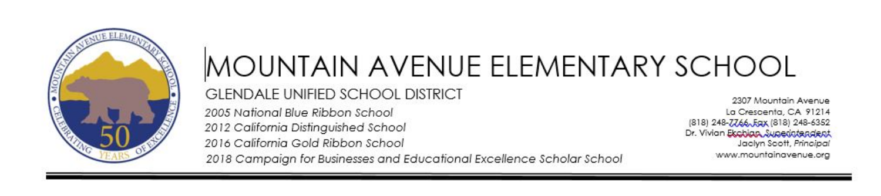

# MOUNTAIN AVENUE ELEMENTARY SCHOOL **GLENDALE UNIFIED SCHOOL DISTRICT** 2005 National Blue Ribbon School

2012 California Distinguished School 2016 California Gold Ribbon School

2307 Mountain Avenue La Crescenta, CA 91214 (818) 248-7766, Eqx (818) 248-6352 Dr. Vivian Ekobian Superintendent Jaclyn Scott, Principal www.mountainavenue.org

2018 Campaian for Businesses and Educational Excellence Scholar School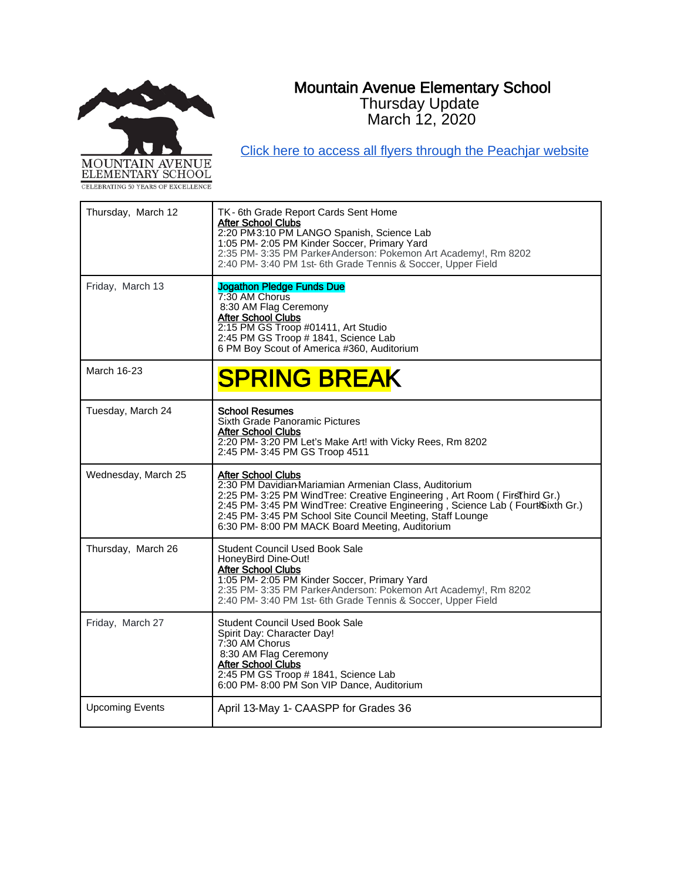# Mountain Avenue Elementary School Thursday Update



[Click here to access all flyers through the Peachjar website](https://app.peachjar.com/flyers/all/schools/55122)

March 12, 2020

| Thursday, March 12     | TK-6th Grade Report Cards Sent Home<br><b>After School Clubs</b><br>2:20 PM3:10 PM LANGO Spanish, Science Lab<br>1:05 PM- 2:05 PM Kinder Soccer, Primary Yard<br>2:35 PM- 3:35 PM ParkerAnderson: Pokemon Art Academy!, Rm 8202<br>2:40 PM- 3:40 PM 1st-6th Grade Tennis & Soccer, Upper Field                                                                    |
|------------------------|-------------------------------------------------------------------------------------------------------------------------------------------------------------------------------------------------------------------------------------------------------------------------------------------------------------------------------------------------------------------|
| Friday, March 13       | <b>Jogathon Pledge Funds Due</b><br>7:30 AM Chorus<br>8:30 AM Flag Ceremony<br><b>After School Clubs</b><br>2:15 PM GS Troop #01411, Art Studio<br>2:45 PM GS Troop # 1841, Science Lab<br>6 PM Boy Scout of America #360, Auditorium                                                                                                                             |
| March 16-23            | <b>SPRING BREAK</b>                                                                                                                                                                                                                                                                                                                                               |
| Tuesday, March 24      | <b>School Resumes</b><br>Sixth Grade Panoramic Pictures<br><b>After School Clubs</b><br>2:20 PM- 3:20 PM Let's Make Art! with Vicky Rees, Rm 8202<br>2:45 PM- 3:45 PM GS Troop 4511                                                                                                                                                                               |
| Wednesday, March 25    | <b>After School Clubs</b><br>2:30 PM Davidian-Mariamian Armenian Class, Auditorium<br>2:25 PM- 3:25 PM WindTree: Creative Engineering, Art Room (FirsThird Gr.)<br>2:45 PM- 3:45 PM WindTree: Creative Engineering, Science Lab (Fourt Sixth Gr.)<br>2:45 PM- 3:45 PM School Site Council Meeting, Staff Lounge<br>6:30 PM-8:00 PM MACK Board Meeting, Auditorium |
| Thursday, March 26     | <b>Student Council Used Book Sale</b><br>HoneyBird Dine-Out!<br><b>After School Clubs</b><br>1:05 PM- 2:05 PM Kinder Soccer, Primary Yard<br>2:35 PM-3:35 PM ParkerAnderson: Pokemon Art Academy!, Rm 8202<br>2:40 PM- 3:40 PM 1st-6th Grade Tennis & Soccer, Upper Field                                                                                         |
| Friday, March 27       | <b>Student Council Used Book Sale</b><br>Spirit Day: Character Day!<br>7:30 AM Chorus<br>8:30 AM Flag Ceremony<br>After School Clubs<br>2:45 PM GS Troop # 1841, Science Lab<br>6:00 PM-8:00 PM Son VIP Dance, Auditorium                                                                                                                                         |
| <b>Upcoming Events</b> | April 13-May 1- CAASPP for Grades 36                                                                                                                                                                                                                                                                                                                              |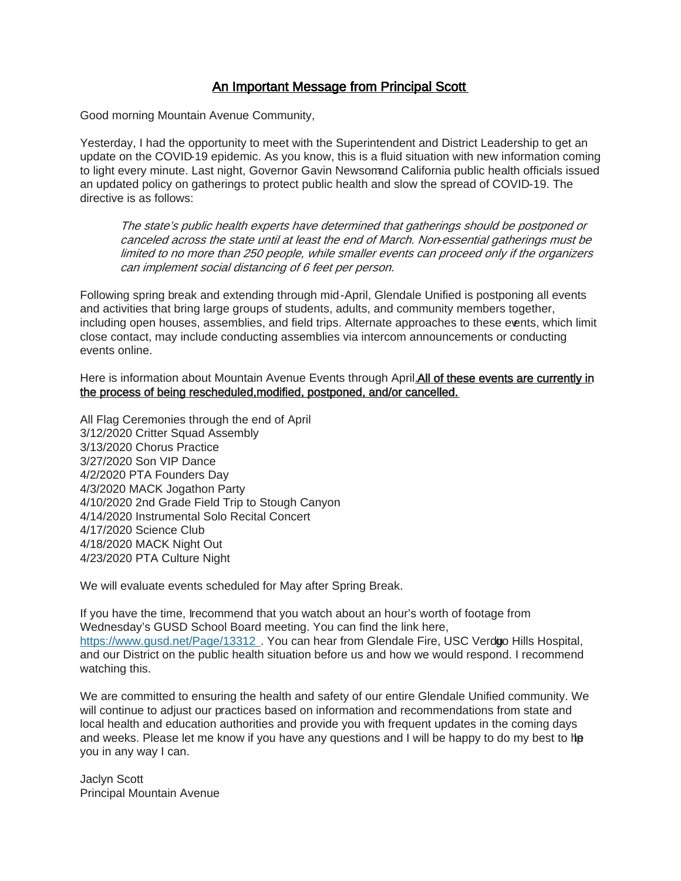# An Important Message from Principal Scott

Good morning Mountain Avenue Community,

Yesterday, I had the opportunity to meet with the Superintendent and District Leadership to get an update on the COVID-19 epidemic. As you know, this is a fluid situation with new information coming to light every minute. Last night, Governor Gavin Newsom and California public health officials issued an updated policy on gatherings to protect public health and slow the spread of COVID-19. The directive is as follows:

The state's public health experts have determined that gatherings should be postponed or canceled across the state until at least the end of March. Non-essential gatherings must be limited to no more than 250 people, while smaller events can proceed only if the organizers can implement social distancing of 6 feet per person.

Following spring break and extending through mid-April, Glendale Unified is postponing all events and activities that bring large groups of students, adults, and community members together, including open houses, assemblies, and field trips. Alternate approaches to these events, which limit close contact, may include conducting assemblies via intercom announcements or conducting events online.

Here is information about Mountain Avenue Events through April. All of these events are currently in the process of being rescheduled,modified, postponed, and/or cancelled.

All Flag Ceremonies through the end of April 3/12/2020 Critter Squad Assembly 3/13/2020 Chorus Practice 3/27/2020 Son VIP Dance 4/2/2020 PTA Founders Day 4/3/2020 MACK Jogathon Party 4/10/2020 2nd Grade Field Trip to Stough Canyon 4/14/2020 Instrumental Solo Recital Concert 4/17/2020 Science Club 4/18/2020 MACK Night Out 4/23/2020 PTA Culture Night

We will evaluate events scheduled for May after Spring Break.

If you have the time, Irecommend that you watch about an hour's worth of footage from Wednesday's GUSD School Board meeting. You can find the link here, <https://www.gusd.net/Page/13312> . You can hear from Glendale Fire, USC Verdo Hills Hospital, and our District on the public health situation before us and how we would respond. I recommend watching this.

We are committed to ensuring the health and safety of our entire Glendale Unified community. We will continue to adjust our practices based on information and recommendations from state and local health and education authorities and provide you with frequent updates in the coming days and weeks. Please let me know if you have any questions and I will be happy to do my best to he you in any way I can.

Jaclyn Scott Principal Mountain Avenue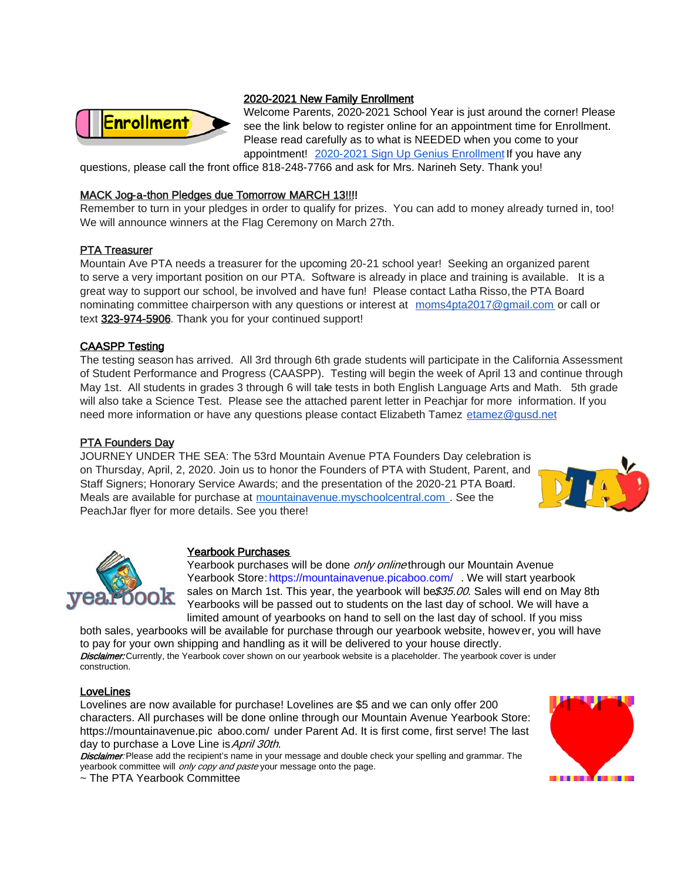

## 2020-2021 New Family Enrollment

Welcome Parents, 2020-2021 School Year is just around the corner! Please see the link below to register online for an appointment time for Enrollment. Please read carefully as to what is NEEDED when you come to your appointment! [2020-2021 Sign Up Genius Enrollment I](https://www.signupgenius.com/go/5080b4daba72ca3fb6-20202021)f you have any

questions, please call the front office 818-248-7766 and ask for Mrs. Narineh Sety. Thank you!

## MACK Jog-a-thon Pledges due Tomorrow MARCH 13!!!!

Remember to turn in your pledges in order to qualify for prizes. You can add to money already turned in, too! We will announce winners at the Flag Ceremony on March 27th.

## PTA Treasurer

Mountain Ave PTA needs a treasurer for the upcoming 20-21 school year! Seeking an organized parent to serve a very important position on our PTA. Software is already in place and training is available. It is a great way to support our school, be involved and have fun! Please contact Latha Risso, the PTA Board nominating committee chairperson with any questions or interest at [moms4pta2017@gmail.com](mailto:moms4pta2017@gmail.com) or call or text 323-974-5906. Thank you for your continued support!

## CAASPP Testing

The testing season has arrived. All 3rd through 6th grade students will participate in the California Assessment of Student Performance and Progress (CAASPP). Testing will begin the week of April 13 and continue through May 1st. All students in grades 3 through 6 will take tests in both English Language Arts and Math. 5th grade will also take a Science Test. Please see the attached parent letter in Peachjar for more information. If you need more information or have any questions please contact Elizabeth Tamez [etamez@gusd.net](mailto:etamez@gusd.net)

## PTA Founders Day

JOURNEY UNDER THE SEA: The 53rd Mountain Avenue PTA Founders Day celebration is on Thursday, April, 2, 2020. Join us to honor the Founders of PTA with Student, Parent, and Staff Signers; Honorary Service Awards; and the presentation of the 2020-21 PTA Board. Meals are available for purchase at [mountainavenue.myschoolcentral.com](http://mountainavenue.myschoolcentral.com/) . See the PeachJar flyer for more details. See you there!





## Yearbook Purchases

Yearbook purchases will be done only onlinethrough our Mountain Avenue Yearbook Store[: https://mountainavenue.picaboo.com/](https://mountainavenue.picaboo.com/) . We will start yearbook sales on March 1st. This year, the yearbook will be \$35.00. Sales will end on May 8th. Yearbooks will be passed out to students on the last day of school. We will have a limited amount of yearbooks on hand to sell on the last day of school. If you miss

both sales, yearbooks will be available for purchase through our yearbook website, howev er, you will have to pay for your own shipping and handling as it will be delivered to your house directly. Disclaimer: Currently, the Yearbook cover shown on our yearbook website is a placeholder. The yearbook cover is under construction.

## LoveLines

Lovelines are now available for purchase! Lovelines are \$5 and we can only offer 200 characters. All purchases will be done online through our Mountain Avenue Yearbook Store: [https://mountainavenue.pic](https://mountainavenue.picaboo.com/) aboo.com/ under Parent Ad. It is first come, first serve! The last day to purchase a Love Line is April 30th.

Disclaimer: Please add the recipient's name in your message and double check your spelling and grammar. The yearbook committee will only copy and paste your message onto the page.

~ The PTA Yearbook Committee

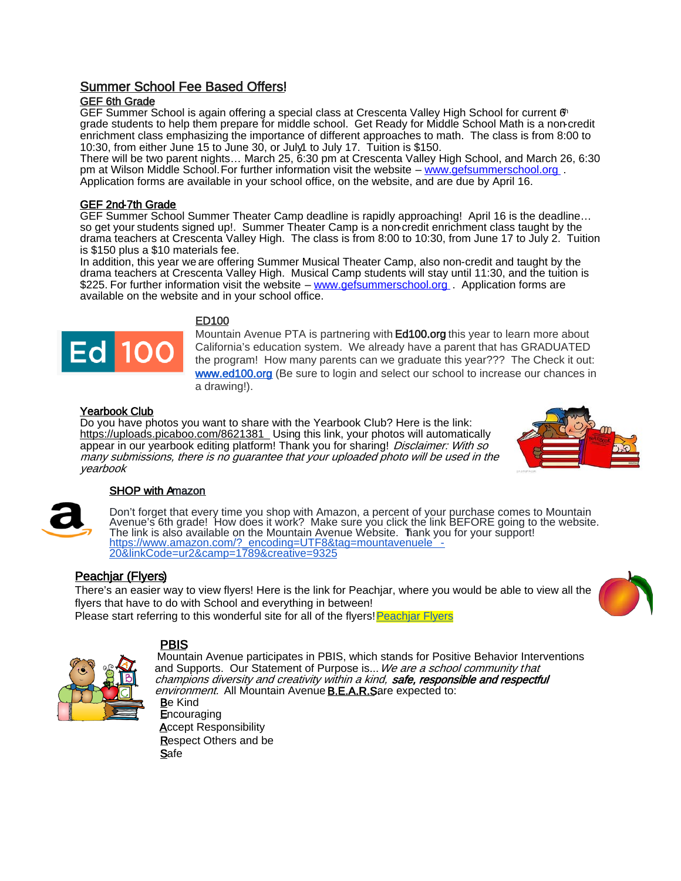# Summer School Fee Based Offers!

## GEF 6th Grade

GEF Summer School is again offering a special class at Crescenta Valley High School for current  $\mathfrak{G}^n$ grade students to help them prepare for middle school. Get Ready for Middle School Math is a non-credit enrichment class emphasizing the importance of different approaches to math. The class is from 8:00 to 10:30, from either June 15 to June 30, or July1 to July 17. Tuition is \$150.

There will be two parent nights… March 25, 6:30 pm at Crescenta Valley High School, and March 26, 6:30 pm at Wilson Middle School. For further information visit the website – [www.gefsummerschool.org](http://www.gefsummerschool.org/). Application forms are available in your school office, on the website, and are due by April 16.

## GEF 2nd-7th Grade

GEF Summer School Summer Theater Camp deadline is rapidly approaching! April 16 is the deadline… so get your students signed up!. Summer Theater Camp is a non-credit enrichment class taught by the drama teachers at Crescenta Valley High. The class is from 8:00 to 10:30, from June 17 to July 2. Tuition is \$150 plus a \$10 materials fee.

In addition, this year we are offering Summer Musical Theater Camp, also non-credit and taught by the drama teachers at Crescenta Valley High. Musical Camp students will stay until 11:30, and the tuition is \$225. For further information visit the website – [www.gefsummerschool.org](http://www.gefsummerschool.org/) . Application forms are available on the website and in your school office.



## ED100

Mountain Avenue PTA is partnering with **Ed100.org** this year to learn more about California's education system. We already have a parent that has GRADUATED the program! How many parents can we graduate this year??? The Check it out: [www.ed100.org](http://www.ed100.org/) (Be sure to login and select our school to increase our chances in a drawing!).

## Yearbook Club

Do you have photos you want to share with the Yearbook Club? Here is the link: <https://uploads.picaboo.com/8621381>\_Using this link, your photos will automatically appear in our yearbook editing platform! Thank you for sharing! Disclaimer: With so many submissions, there is no guarantee that your uploaded photo will be used in the yearbook



## SHOP with Amazon

Don't forget that every time you shop with Amazon, a percent of your purchase comes to Mountain Avenue's 6th grade! How does it work? Make sure you click the link BEFORE going to the website. The link is also available on the Mountain Avenue Website. Thank you for your support!<br><u>https://www.amazon.com/?\_encoding=UTF8&tag=mountavenuele --</u><br>20&linkCode=ur2&camp=1789&creative=9325

# Peachjar (Flyers)

There's an easier way to view flyers! Here is the link for Peachjar, where you would be able to view all the flyers that have to do with School and everything in between! Please start referring to this wonderful site for all of the flyers[! Peachjar Flyers](https://app.peachjar.com/flyers/all/schools/55122) 



PBIS<br>Mountain Avenue participates in PBIS, which stands for Positive Behavior Interventions and Supports. Our Statement of Purpose is... We are a school community that champions diversity and creativity within a kind, safe, responsible and respectful environment. All Mountain Avenue **B.E.A.R.S**are expected to: Be Kind **Encouraging**  Accept Responsibility Respect Others and be **Safe** 

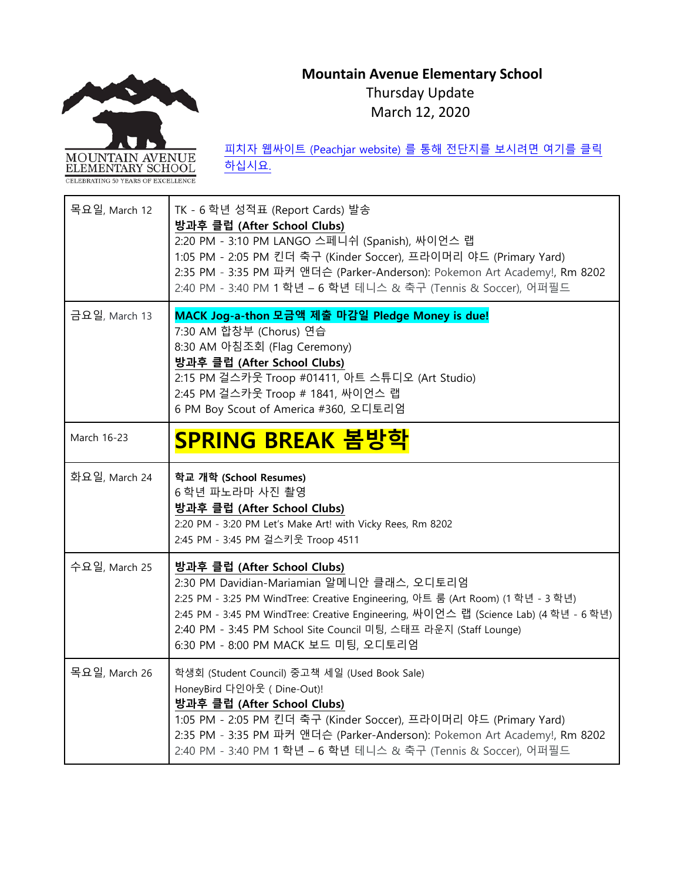# **Mountain Avenue Elementary School** Thursday Update

March 12, 2020



피치자 웹싸이트 [\(Peachjar website\)](https://app.peachjar.com/flyers/all/schools/55122) 를 통해 전단지를 보시려면 여기를 클릭

[하십시요](https://app.peachjar.com/flyers/all/schools/55122).

| 목요일, March 12 | TK - 6 학년 성적표 (Report Cards) 발송<br>방과후 클럽 (After School Clubs)<br>2:20 PM - 3:10 PM LANGO 스페니쉬 (Spanish), 싸이언스 랩<br>1:05 PM - 2:05 PM 킨더 축구 (Kinder Soccer), 프라이머리 야드 (Primary Yard)<br>2:35 PM - 3:35 PM 파커 앤더슨 (Parker-Anderson): Pokemon Art Academy!, Rm 8202<br>2:40 PM - 3:40 PM 1 학년 - 6 학년 테니스 & 축구 (Tennis & Soccer), 어퍼필드                             |
|---------------|-----------------------------------------------------------------------------------------------------------------------------------------------------------------------------------------------------------------------------------------------------------------------------------------------------------------------------------------------------------------|
| 금요일, March 13 | MACK Jog-a-thon 모금액 제출 마감일 Pledge Money is due!<br>7:30 AM 합창부 (Chorus) 연습<br>8:30 AM 아침조회 (Flag Ceremony)<br>방과후 클럽 (After School Clubs)<br>2:15 PM 걸스카웃 Troop #01411, 아트 스튜디오 (Art Studio)<br>2:45 PM 걸스카웃 Troop # 1841, 싸이언스 랩<br>6 PM Boy Scout of America #360, 오디토리엄                                                                                      |
| March 16-23   | <u>SPRING BREAK 봄방학</u>                                                                                                                                                                                                                                                                                                                                         |
| 화요일, March 24 | 학교 개학 (School Resumes)<br>6 학년 파노라마 사진 촬영<br>방과후 클럽 (After School Clubs)<br>2:20 PM - 3:20 PM Let's Make Art! with Vicky Rees, Rm 8202<br>2:45 PM - 3:45 PM 걸스키웃 Troop 4511                                                                                                                                                                                     |
| 수요일, March 25 | 방과후 클럽 (After School Clubs)<br>2:30 PM Davidian-Mariamian 알메니안 클래스, 오디토리엄<br>2:25 PM - 3:25 PM WindTree: Creative Engineering, 아트 룸 (Art Room) (1 학년 - 3 학년)<br>2:45 PM - 3:45 PM WindTree: Creative Engineering, 싸이언스 랩 (Science Lab) (4 학년 - 6 학년)<br>2:40 PM - 3:45 PM School Site Council 미팅, 스태프 라운지 (Staff Lounge)<br>6:30 PM - 8:00 PM MACK 보드 미팅, 오디토리엄 |
| 목요일, March 26 | 학생회 (Student Council) 중고책 세일 (Used Book Sale)<br>HoneyBird 다인아웃 ( Dine-Out)!<br>방과후 클럽 (After School Clubs)<br>1:05 PM - 2:05 PM 킨더 축구 (Kinder Soccer), 프라이머리 야드 (Primary Yard)<br>2:35 PM - 3:35 PM 파커 앤더슨 (Parker-Anderson): Pokemon Art Academy!, Rm 8202<br>2:40 PM - 3:40 PM 1 학년 - 6 학년 테니스 & 축구 (Tennis & Soccer), 어퍼필드                                  |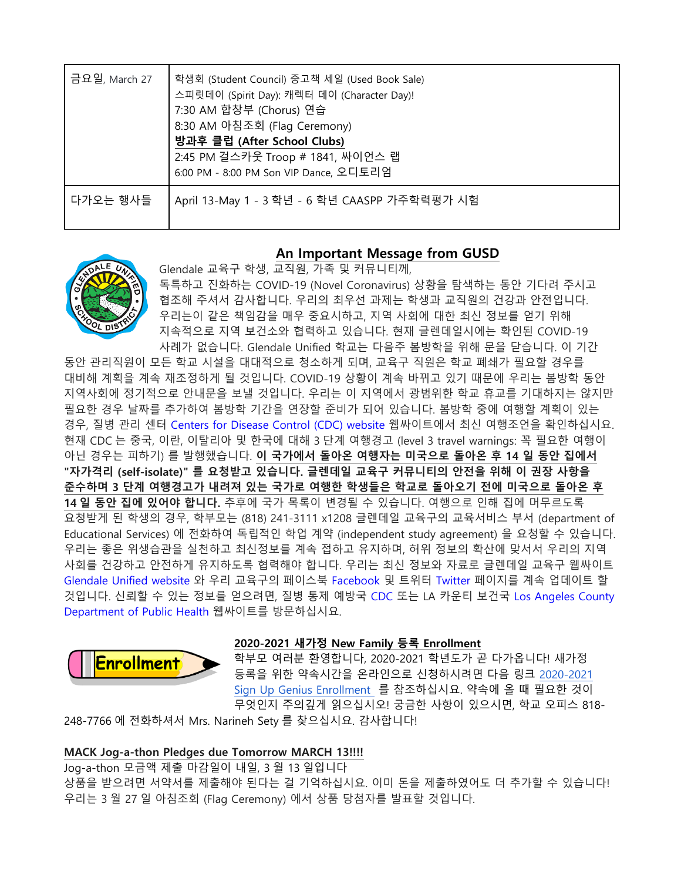| 금요일, March 27 | 학생회 (Student Council) 중고책 세일 (Used Book Sale)<br>스피릿데이 (Spirit Day): 캐렉터 데이 (Character Day)!<br>7:30 AM 합창부 (Chorus) 연습<br>8:30 AM 아침조회 (Flag Ceremony)<br>방과후 클럽 (After School Clubs)<br>2:45 PM 걸스카웃 Troop # 1841, 싸이언스 랩<br>6:00 PM - 8:00 PM Son VIP Dance, 오디토리엄 |
|---------------|-----------------------------------------------------------------------------------------------------------------------------------------------------------------------------------------------------------------------------------------------------------------------|
| 다가오는 행사들      | April 13-May 1 - 3 학년 - 6 학년 CAASPP 가주학력평가 시험                                                                                                                                                                                                                         |

# **An Important Message from GUSD**



Glendale 교육구 학생, 교직원, 가족 및 커뮤니티께, 독특하고 진화하는 COVID-19 (Novel Coronavirus) 상황을 탐색하는 동안 기다려 주시고 협조해 주셔서 감사합니다. 우리의 최우선 과제는 학생과 교직원의 건강과 안전입니다. 우리는이 같은 책임감을 매우 중요시하고, 지역 사회에 대한 최신 정보를 얻기 위해 지속적으로 지역 보건소와 협력하고 있습니다. 현재 글렌데일시에는 확인된 COVID-19 사례가 없습니다. Glendale Unified 학교는 다음주 봄방학을 위해 문을 닫습니다. 이 기간

동안 관리직원이 모든 학교 시설을 대대적으로 청소하게 되며, 교육구 직원은 학교 폐쇄가 필요할 경우를 대비해 계획을 계속 재조정하게 될 것입니다. COVID-19 상황이 계속 바뀌고 있기 때문에 우리는 봄방학 동안 지역사회에 정기적으로 안내문을 보낼 것입니다. 우리는 이 지역에서 광범위한 학교 휴교를 기대하지는 않지만 필요한 경우 날짜를 추가하여 봄방학 기간을 연장할 준비가 되어 있습니다. 봄방학 중에 여행할 계획이 있는 경우, 질병 관리 센터 [Centers for Disease Control \(CDC\) website](https://www.cdc.gov/coronavirus/2019-ncov/travelers/index.html) 웹싸이트에서 최신 여행조언을 확인하십시요. 현재 CDC 는 중국, 이란, 이탈리아 및 한국에 대해 3 단계 여행경고 (level 3 travel warnings: 꼭 필요한 여행이 아닌 경우는 피하기) 를 발행했습니다. **이 국가에서 돌아온 여행자는 미국으로 돌아온 후 14 일 동안 집에서 "자가격리 (self-isolate)" 를 요청받고 있습니다. 글렌데일 교육구 커뮤니티의 안전을 위해 이 권장 사항을 준수하며 3 단계 여행경고가 내려져 있는 국가로 여행한 학생들은 학교로 돌아오기 전에 미국으로 돌아온 후 14 일 동안 집에 있어야 합니다.** 추후에 국가 목록이 변경될 수 있습니다. 여행으로 인해 집에 머무르도록 요청받게 된 학생의 경우, 학부모는 (818) 241-3111 x1208 글렌데일 교육구의 교육서비스 부서 (department of Educational Services) 에 전화하여 독립적인 학업 계약 (independent study agreement) 을 요청할 수 있습니다. 우리는 좋은 위생습관을 실천하고 최신정보를 계속 접하고 유지하며, 허위 정보의 확산에 맞서서 우리의 지역 사회를 건강하고 안전하게 유지하도록 협력해야 합니다. 우리는 최신 정보와 자료로 글렌데일 교육구 웹싸이트 [Glendale Unified website](https://www.gusd.net/Page/13312) 와 우리 교육구의 페이스북 [Facebook](https://www.facebook.com/glendaleusd) 및 트위터 [Twitter](https://twitter.com/glendaleusd) 페이지를 계속 업데이트 할 것입니다. 신뢰할 수 있는 정보를 얻으려면, 질병 통제 예방국 [CDC](https://www.cdc.gov/coronavirus/2019-ncov/index.html) 또는 LA 카운티 보건국 [Los Angeles County](http://publichealth.lacounty.gov/media/Coronavirus/)  [Department of Public Health](http://publichealth.lacounty.gov/media/Coronavirus/) 웹싸이트를 방문하십시요.



## **2020-2021 새가정 New Family 등록 Enrollment**

학부모 여러분 환영합니다, 2020-2021 학년도가 곧 다가옵니다! 새가정 등록을 위한 약속시간을 온라인으로 신청하시려면 다음 링크 [2020-2021](https://www.signupgenius.com/go/5080b4daba72ca3fb6-20202021)  [Sign Up Genius Enrollment](https://www.signupgenius.com/go/5080b4daba72ca3fb6-20202021) 를 참조하십시요. 약속에 올 때 필요한 것이 무엇인지 주의깊게 읽으십시오! 궁금한 사항이 있으시면, 학교 오피스 818-

248-7766 에 전화하셔서 Mrs. Narineh Sety 를 찾으십시요. 감사합니다!

# **MACK Jog-a-thon Pledges due Tomorrow MARCH 13!!!!**

Jog-a-thon 모금액 제출 마감일이 내일, 3 월 13 일입니다

상품을 받으려면 서약서를 제출해야 된다는 걸 기억하십시요. 이미 돈을 제출하였어도 더 추가할 수 있습니다! 우리는 3 월 27 일 아침조회 (Flag Ceremony) 에서 상품 당첨자를 발표할 것입니다.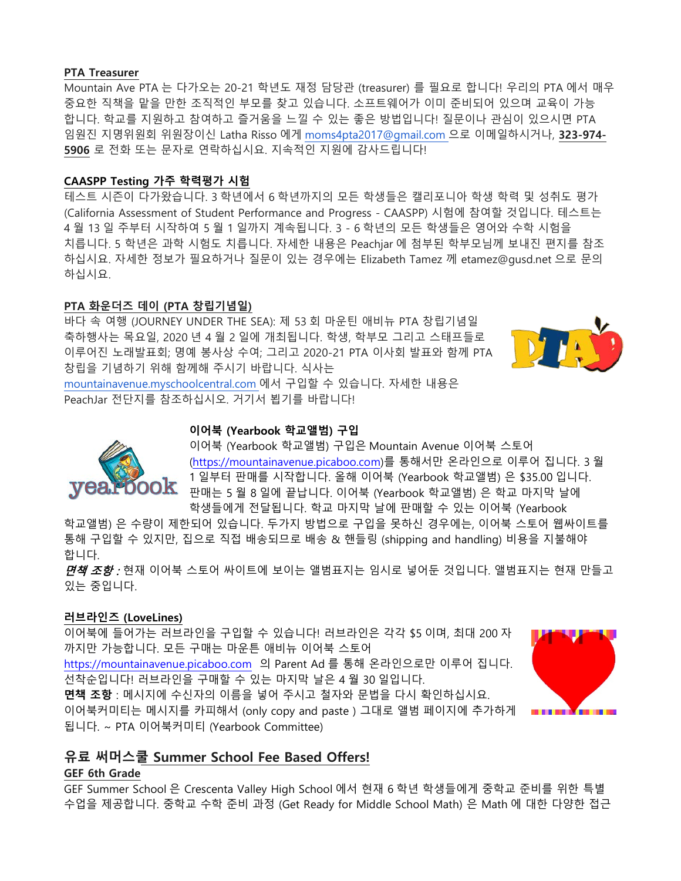## **PTA Treasurer**

Mountain Ave PTA 는 다가오는 20-21 학년도 재정 담당관 (treasurer) 를 필요로 합니다! 우리의 PTA 에서 매우 중요한 직책을 맡을 만한 조직적인 부모를 찾고 있습니다. 소프트웨어가 이미 준비되어 있으며 교육이 가능 합니다. 학교를 지원하고 참여하고 즐거움을 느낄 수 있는 좋은 방법입니다! 질문이나 관심이 있으시면 PTA 임원진 지명위원회 위원장이신 Latha Risso 에게 [moms4pta2017@gmail.com](mailto:moms4pta2017@gmail.com) 으로 이메일하시거나, **323-974- 5906** 로 전화 또는 문자로 연락하십시요. 지속적인 지원에 감사드립니다!

## **CAASPP Testing 가주 학력평가 시험**

테스트 시즌이 다가왔습니다. 3 학년에서 6 학년까지의 모든 학생들은 캘리포니아 학생 학력 및 성취도 평가 (California Assessment of Student Performance and Progress - CAASPP) 시험에 참여할 것입니다. 테스트는 4 월 13 일 주부터 시작하여 5 월 1 일까지 계속됩니다. 3 - 6 학년의 모든 학생들은 영어와 수학 시험을 치릅니다. 5 학년은 과학 시험도 치릅니다. 자세한 내용은 Peachjar 에 첨부된 학부모님께 보내진 편지를 참조 하십시요. 자세한 정보가 필요하거나 질문이 있는 경우에는 Elizabeth Tamez 께 etamez@gusd.net 으로 문의 하십시요.

## **PTA 화운더즈 데이 (PTA 창립기념일)**

ook

바다 속 여행 (JOURNEY UNDER THE SEA): 제 53 회 마운틴 애비뉴 PTA 창립기념일 축하행사는 목요일, 2020 년 4 월 2 일에 개최됩니다. 학생, 학부모 그리고 스태프들로 이루어진 노래발표회; 명예 봉사상 수여; 그리고 2020-21 PTA 이사회 발표와 함께 PTA 창립을 기념하기 위해 함께해 주시기 바랍니다. 식사는



[mountainavenue.myschoolcentral.com](http://mountainavenue.myschoolcentral.com/) 에서 구입할 수 있습니다. 자세한 내용은 PeachJar 전단지를 참조하십시오. 거기서 뵙기를 바랍니다!

# **이어북 (Yearbook 학교앨범) 구입**

이어북 (Yearbook 학교앨범) 구입은 Mountain Avenue 이어북 스토어 [\(https://mountainavenue.picaboo.com\)](https://mountainavenue.picaboo.com/)를 통해서만 온라인으로 이루어 집니다. 3 월 1 일부터 판매를 시작합니다. 올해 이어북 (Yearbook 학교앨범) 은 \$35.00 입니다. 판매는 5 월 8 일에 끝납니다. 이어북 (Yearbook 학교앨범) 은 학교 마지막 날에 학생들에게 전달됩니다. 학교 마지막 날에 판매할 수 있는 이어북 (Yearbook

학교앨범) 은 수량이 제한되어 있습니다. 두가지 방법으로 구입을 못하신 경우에는, 이어북 스토어 웹싸이트를 통해 구입할 수 있지만, 집으로 직접 배송되므로 배송 & 핸들링 (shipping and handling) 비용을 지불해야 합니다.

*면책 조항 :* 현재 이어북 스토어 싸이트에 보이는 앨범표지는 임시로 넣어둔 것입니다. 앨범표지는 현재 만들고 있는 중입니다.

## **러브라인즈 (LoveLines)**

이어북에 들어가는 러브라인을 구입할 수 있습니다! 러브라인은 각각 \$5 이며, 최대 200 자 까지만 가능합니다. 모든 구매는 마운튼 애비뉴 이어북 스토어

[https://mountainavenue.picaboo.com](https://mountainavenue.picaboo.com/) 의 Parent Ad 를 통해 온라인으로만 이루어 집니다. 선착순입니다! 러브라인을 구매할 수 있는 마지막 날은 4 월 30 일입니다.

**면책 조항** : 메시지에 수신자의 이름을 넣어 주시고 철자와 문법을 다시 확인하십시요. 이어북커미티는 메시지를 카피해서 (only copy and paste ) 그대로 앨범 페이지에 추가하게 됩니다. ~ PTA 이어북커미티 (Yearbook Committee)



# **유료 써머스쿨 Summer School Fee Based Offers!**

## **GEF 6th Grade**

GEF Summer School 은 Crescenta Valley High School 에서 현재 6 학년 학생들에게 중학교 준비를 위한 특별 수업을 제공합니다. 중학교 수학 준비 과정 (Get Ready for Middle School Math) 은 Math 에 대한 다양한 접근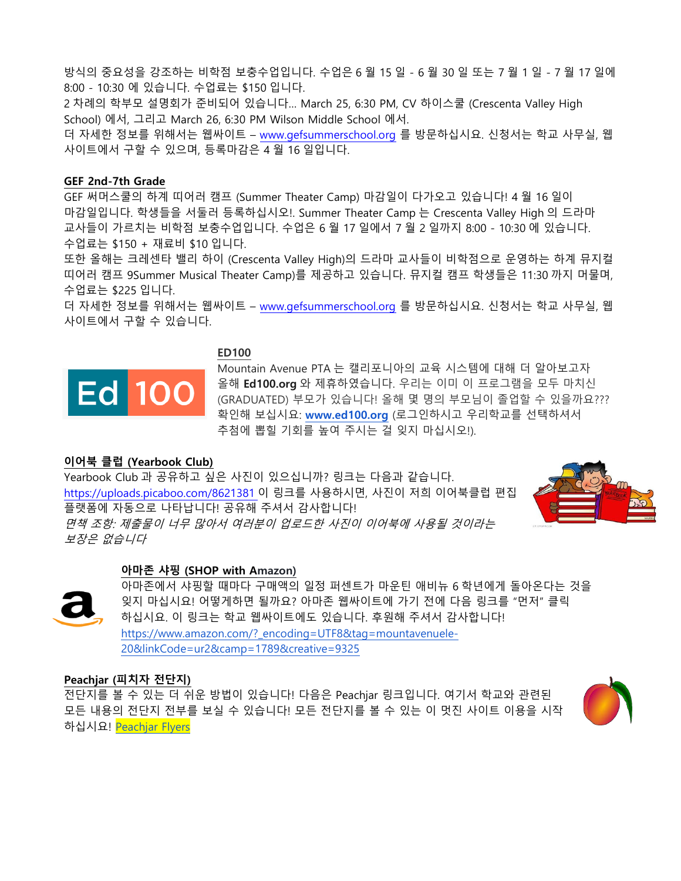방식의 중요성을 강조하는 비학점 보충수업입니다. 수업은 6 월 15 일 - 6 월 30 일 또는 7 월 1 일 - 7 월 17 일에 8:00 - 10:30 에 있습니다. 수업료는 \$150 입니다.

2 차례의 학부모 설명회가 준비되어 있습니다… March 25, 6:30 PM, CV 하이스쿨 (Crescenta Valley High School) 에서, 그리고 March 26, 6:30 PM Wilson Middle School 에서.

더 자세한 정보를 위해서는 웹싸이트 – [www.gefsummerschool.org](http://www.gefsummerschool.org/) 를 방문하십시요. 신청서는 학교 사무실, 웹 사이트에서 구할 수 있으며, 등록마감은 4 월 16 일입니다.

## **GEF 2nd-7th Grade**

GEF 써머스쿨의 하계 띠어러 캠프 (Summer Theater Camp) 마감일이 다가오고 있습니다! 4 월 16 일이 마감일입니다. 학생들을 서둘러 등록하십시오!. Summer Theater Camp 는 Crescenta Valley High 의 드라마 교사들이 가르치는 비학점 보충수업입니다. 수업은 6 월 17 일에서 7 월 2 일까지 8:00 - 10:30 에 있습니다. 수업료는 \$150 + 재료비 \$10 입니다.

또한 올해는 크레센타 밸리 하이 (Crescenta Valley High)의 드라마 교사들이 비학점으로 운영하는 하계 뮤지컬 띠어러 캠프 9Summer Musical Theater Camp)를 제공하고 있습니다. 뮤지컬 캠프 학생들은 11:30 까지 머물며, 수업료는 \$225 입니다.

더 자세한 정보를 위해서는 웹싸이트 – [www.gefsummerschool.org](http://www.gefsummerschool.org/) 를 방문하십시요. 신청서는 학교 사무실, 웹 사이트에서 구할 수 있습니다.

**ED100**



Mountain Avenue PTA 는 캘리포니아의 교육 시스템에 대해 더 알아보고자 올해 **Ed100.org** 와 제휴하였습니다. 우리는 이미 이 프로그램을 모두 마치신 (GRADUATED) 부모가 있습니다! 올해 몇 명의 부모님이 졸업할 수 있을까요??? 확인해 보십시요: **[www.ed100.org](http://www.ed100.org/)** (로그인하시고 우리학교를 선택하셔서 추첨에 뽑힐 기회를 높여 주시는 걸 잊지 마십시오!).

## **이어북 클럽 (Yearbook Club)**

Yearbook Club 과 공유하고 싶은 사진이 있으십니까? 링크는 다음과 같습니다. <https://uploads.picaboo.com/8621381> 이 링크를 사용하시면, 사진이 저희 이어북클럽 편집 플랫폼에 자동으로 나타납니다! 공유해 주셔서 감사합니다! 면책 조항: 제출물이 너무 많아서 여러분이 업로드한 사진이 이어북에 사용될 것이라는 보장은 없습니다



## **아마존 샤핑 (SHOP with Amazon)**



아마존에서 샤핑할 때마다 구매액의 일정 퍼센트가 마운틴 애비뉴 6 학년에게 돌아온다는 것을 잊지 마십시요! 어떻게하면 될까요? 아마존 웹싸이트에 가기 전에 다음 링크를 "먼저" 클릭 하십시요. 이 링크는 학교 웹싸이트에도 있습니다. 후원해 주셔서 감사합니다! [https://www.amazon.com/?\\_encoding=UTF8&tag=mountavenuele-](https://www.amazon.com/?_encoding=UTF8&tag=mountavenuele-20&linkCode=ur2&camp=1789&creative=9325)[20&linkCode=ur2&camp=1789&creative=9325](https://www.amazon.com/?_encoding=UTF8&tag=mountavenuele-20&linkCode=ur2&camp=1789&creative=9325)

## **Peachjar (피치자 전단지)**

전단지를 볼 수 있는 더 쉬운 방법이 있습니다! 다음은 Peachjar 링크입니다. 여기서 학교와 관련된 모든 내용의 전단지 전부를 보실 수 있습니다! 모든 전단지를 볼 수 있는 이 멋진 사이트 이용을 시작 하십시요! [Peachjar Flyers](https://app.peachjar.com/flyers/all/schools/55122)